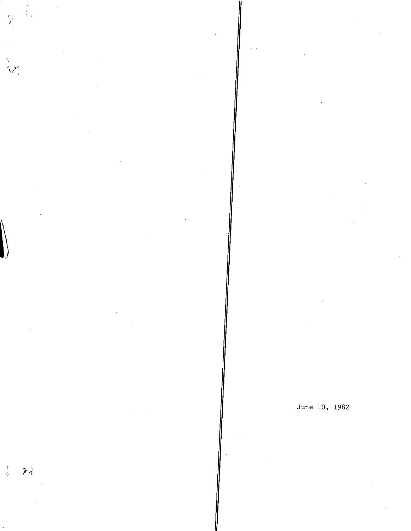$\frac{1}{2}$ 

 $\mathbf{y}_{\text{b}}$ 

June 10, 1982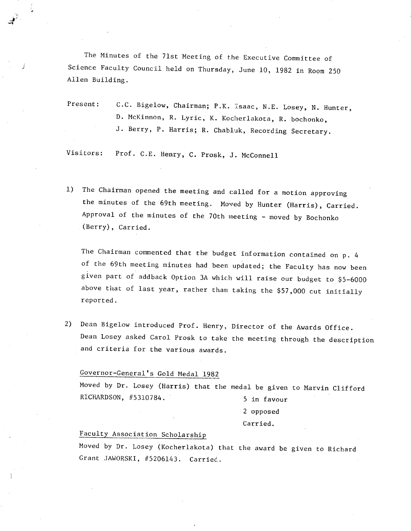The Minutes of the 71st Meeting of the Executive Committee of Science Faculty Council held on Thursday, June 10, 1982 in Room 250 Allen Building.

Present: C.C. Bigelow, Chairman; P.K. Isaac, N.E. Losey, N. Hunter, D. McKinnon, R. Lyric, K. Kocherlakota, R. bochonko, J. Berry, P. Harris; R. Chabluk, Recording Secretary.

Visitors: Prof. C.E. Henry, C. Prosk, J. McConnell

The Chairman opened the meeting and called for a motion approving  $1)$ the minutes of the 69th meeting. Moved by Hunter (Harris), Carried. Approval of the minutes of the 70th meeting - moved by Bochonko (Berry), Carried.

The Chairman commented that the budget information contained on p. 4 of the 69th meeting minutes had been updated; the Faculty has now been given part of addback Option 3A which will raise our budget to \$5-6000 above that of last year, rather than taking the \$57,000 cut initially reported.

Dean Bigelow introduced Prof. Henry, Director of the Awards Office.  $2)$ Dean Losey asked Carol Prosk to take the meeting through the description and criteria for the various awards.

# Governor-General's Gold Medal 1982

Moved by Dr. Losey (Harris) that the medal be given to Marvin Clifford RICHARDSON, #5310784. 5 in favour

2 opposed

#### Carried.

## Faculty Association Scholarshi

Moved by Dr. Losey (Kocherlakota) that the award be given to Richard Grant JAWORSKI, #5206143. Carried..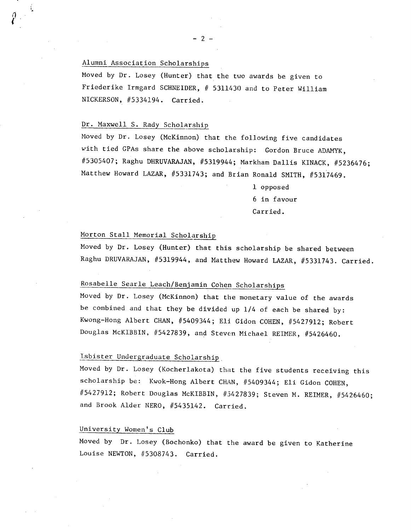## Alumni Association Scholarships

Moved by Dr. Losey (Hunter) that the two awards be given to Friederike Irmgard SCHNEIDER, # 5311430 and to Peter William NICKERSON, #5334194. Carried.

#### Dr. Maxwell S. Rady Scholarship

Moved by Dr. Losey (McKinnon) that the following five candidates with tied GPAs share the above scholarship: Gordon Bruce ADAMYK, #5305407; Raghu DHRUVARAJAN, #5319944; Markham Dallis KINACK, #5236476; Matthew Howard LAZAR, #5331743; and Brian Ronald SMITH, #5317469.

> 1 opposed 6 in favour Carried.

## Morton Stall Memorial Scholarship

Moved by Dr. Losey (Hunter) that this scholarship be shared between Raghu DRUVARAJAN, #5319944, and Matthew Howard LAZAR, #5331743. Carried.

# Rosabelle Searle Leach/Benjamin Cohen Scholarships

Moved by Dr. Losey (McKinnon) that the monetary value of the awards be combined and that they be divided up 1/4 of each be shared by: Kwong-Hong Albert CHAN, #5409344; Eli Gidon COHEN, #5427912; Robert Douglas McKIBBIN, #5427839, and Steven Michael REIMER, #5426460.

# isbister Undergraduate Scholarship

Moved by Dr. Losey (Kocherlakota) that the five students receiving this scholarship be: Kwok-Hong Albert CHAN, #5409344; Eli Gidon COHEN, #5427912; Robert Douglas McKIBBIN, #5427839; Steven M. REIMER, #5426460; and Brook Alder NERO, #5435142. Carried.

## University Women's Club

Moved by Dr. Losey (Bochonko) that the award be given to Katherine Louise NEWTON, #5308743. Carried.

-2-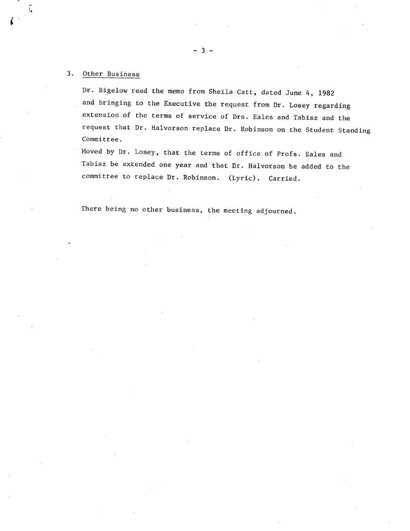## 3. Other Business

j,

Dr. Bigelow read the memo from Sheila Catt, dated June 4, 1982 and bringing to the Executive the request from Dr. Losey regarding extension of the terms of service of Drs. Eales and Tabisz and the request that Dr. Halvorson replace Dr. Robinson on the Student Standing Committee.

Moved by Dr. Losey, that the terms of office of Profs. Eales and Tabisz be extended one year and that Dr. Halvorson be added to the committee to replace Dr. Robinson. (Lyric). Carried.

There being no other business, the meeting adjourned.